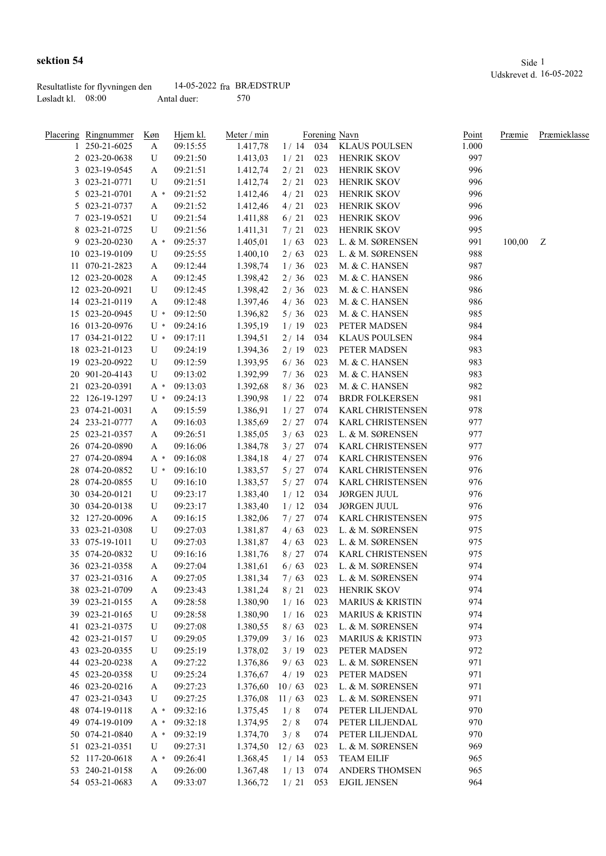|                     | Resultatliste for flyvningen den | 14-05-2022 fra BRÆDSTRUP |     |
|---------------------|----------------------------------|--------------------------|-----|
| Løsladt kl. $08:00$ |                                  | Antal duer:              | 570 |

|    | <u>Placering Ringnummer</u> | Køn   | Hjem kl. | Meter / min |       |     | Forening Navn               | <u>Point</u> | Præmie | Præmieklasse |
|----|-----------------------------|-------|----------|-------------|-------|-----|-----------------------------|--------------|--------|--------------|
|    | 250-21-6025                 | A     | 09:15:55 | 1.417,78    |       |     | 1 / 14 034 KLAUS POULSEN    | 1.000        |        |              |
|    | 2 023-20-0638               | U     | 09:21:50 | 1.413,03    | 1/21  | 023 | <b>HENRIK SKOV</b>          | 997          |        |              |
|    | 3 023-19-0545               | A     | 09:21:51 | 1.412,74    | 2/21  | 023 | <b>HENRIK SKOV</b>          | 996          |        |              |
|    | 3 023-21-0771               | U     | 09:21:51 | 1.412,74    | 2/21  | 023 | <b>HENRIK SKOV</b>          | 996          |        |              |
|    | 5 023-21-0701               | A *   | 09:21:52 | 1.412,46    | 4/21  | 023 | <b>HENRIK SKOV</b>          | 996          |        |              |
|    | 5 023-21-0737               | A     | 09:21:52 | 1.412,46    | 4/21  | 023 | <b>HENRIK SKOV</b>          | 996          |        |              |
|    | 7 023-19-0521               | U     | 09:21:54 | 1.411,88    | 6/21  | 023 | <b>HENRIK SKOV</b>          | 996          |        |              |
|    | 8 023-21-0725               | U     | 09:21:56 | 1.411,31    | 7/21  | 023 | HENRIK SKOV                 | 995          |        |              |
|    | 9 023-20-0230               | A *   | 09:25:37 | 1.405,01    | 1/63  | 023 | L. & M. SØRENSEN            | 991          | 100,00 | Z            |
| 10 | 023-19-0109                 | U     | 09:25:55 | 1.400,10    | 2/63  | 023 | L. & M. SØRENSEN            | 988          |        |              |
|    | 11 070-21-2823              | A     | 09:12:44 | 1.398,74    | 1/36  | 023 | M. & C. HANSEN              | 987          |        |              |
|    | 12 023-20-0028              | A     | 09:12:45 | 1.398,42    | 2/36  | 023 | M. & C. HANSEN              | 986          |        |              |
|    | 12 023-20-0921              | U     | 09:12:45 | 1.398,42    | 2/36  | 023 | M. & C. HANSEN              | 986          |        |              |
|    | 14 023-21-0119              | A     | 09:12:48 | 1.397,46    | 4/36  | 023 | M. & C. HANSEN              | 986          |        |              |
|    | 15 023-20-0945              | $U^*$ | 09:12:50 | 1.396,82    | 5/36  | 023 | M. & C. HANSEN              | 985          |        |              |
|    | 16 013-20-0976              | $U^*$ | 09:24:16 | 1.395,19    | 1/19  | 023 | PETER MADSEN                | 984          |        |              |
|    | 17 034-21-0122              |       | 09:17:11 |             |       | 034 | <b>KLAUS POULSEN</b>        | 984          |        |              |
|    | 18 023-21-0123              | $U^*$ |          | 1.394,51    | 2/14  |     |                             |              |        |              |
|    |                             | U     | 09:24:19 | 1.394,36    | 2/19  | 023 | PETER MADSEN                | 983          |        |              |
|    | 19 023-20-0922              | U     | 09:12:59 | 1.393,95    | 6/36  | 023 | M. & C. HANSEN              | 983          |        |              |
|    | 20 901-20-4143              | U     | 09:13:02 | 1.392,99    | 7/36  | 023 | M. & C. HANSEN              | 983          |        |              |
|    | 21 023-20-0391              | $A^*$ | 09:13:03 | 1.392,68    | 8/36  | 023 | M. & C. HANSEN              | 982          |        |              |
|    | 22 126-19-1297              | $U^*$ | 09:24:13 | 1.390,98    | 1/22  | 074 | <b>BRDR FOLKERSEN</b>       | 981          |        |              |
|    | 23 074-21-0031              | A     | 09:15:59 | 1.386,91    | 1/27  | 074 | KARL CHRISTENSEN            | 978          |        |              |
|    | 24 233-21-0777              | A     | 09:16:03 | 1.385,69    | 2/27  | 074 | <b>KARL CHRISTENSEN</b>     | 977          |        |              |
|    | 25 023-21-0357              | A     | 09:26:51 | 1.385,05    | 3/63  | 023 | L. & M. SØRENSEN            | 977          |        |              |
|    | 26 074-20-0890              | A     | 09:16:06 | 1.384,78    | 3/27  | 074 | <b>KARL CHRISTENSEN</b>     | 977          |        |              |
|    | 27 074-20-0894              | $A^*$ | 09:16:08 | 1.384,18    | 4/27  | 074 | KARL CHRISTENSEN            | 976          |        |              |
|    | 28 074-20-0852              | $U^*$ | 09:16:10 | 1.383,57    | 5/27  | 074 | KARL CHRISTENSEN            | 976          |        |              |
|    | 28 074-20-0855              | U     | 09:16:10 | 1.383,57    | 5/27  | 074 | KARL CHRISTENSEN            | 976          |        |              |
|    | 30 034-20-0121              | U     | 09:23:17 | 1.383,40    | 1/12  | 034 | <b>JØRGEN JUUL</b>          | 976          |        |              |
|    | 30 034-20-0138              | U     | 09:23:17 | 1.383,40    | 1/12  | 034 | <b>JØRGEN JUUL</b>          | 976          |        |              |
|    | 32 127-20-0096              | A     | 09:16:15 | 1.382,06    | 7/27  | 074 | <b>KARL CHRISTENSEN</b>     | 975          |        |              |
|    | 33 023-21-0308              | U     | 09:27:03 | 1.381,87    | 4/63  | 023 | L. & M. SØRENSEN            | 975          |        |              |
|    | 33 075-19-1011              | U     | 09:27:03 | 1.381,87    | 4/63  | 023 | L. & M. SØRENSEN            | 975          |        |              |
|    | 35 074-20-0832              | U     | 09:16:16 | 1.381,76    | 8/27  | 074 | <b>KARL CHRISTENSEN</b>     | 975          |        |              |
|    | 36 023-21-0358              | A     | 09:27:04 | 1.381,61    | 6/63  | 023 | L. & M. SØRENSEN            | 974          |        |              |
|    | 37 023-21-0316              | A     | 09:27:05 | 1.381,34    | 7/63  | 023 | L. & M. SØRENSEN            | 974          |        |              |
|    | 38 023-21-0709              | A     | 09:23:43 | 1.381,24    | 8/21  | 023 | HENRIK SKOV                 | 974          |        |              |
|    | 39 023-21-0155              | A     | 09:28:58 | 1.380,90    | 1/16  | 023 | <b>MARIUS &amp; KRISTIN</b> | 974          |        |              |
|    | 39 023-21-0165              | U     | 09:28:58 | 1.380,90    | 1/16  | 023 | <b>MARIUS &amp; KRISTIN</b> | 974          |        |              |
|    | 41 023-21-0375              | U     | 09:27:08 | 1.380,55    | 8/63  | 023 | L. & M. SØRENSEN            | 974          |        |              |
|    | 42 023-21-0157              | U     | 09:29:05 | 1.379,09    | 3/16  | 023 | <b>MARIUS &amp; KRISTIN</b> | 973          |        |              |
|    | 43 023-20-0355              | U     | 09:25:19 | 1.378,02    | 3/19  | 023 | PETER MADSEN                | 972          |        |              |
|    | 44 023-20-0238              | A     | 09:27:22 | 1.376,86    | 9/63  | 023 | L. & M. SØRENSEN            | 971          |        |              |
|    | 45 023-20-0358              | U     | 09:25:24 | 1.376,67    | 4/19  | 023 | PETER MADSEN                | 971          |        |              |
|    | 46 023-20-0216              | A     | 09:27:23 | 1.376,60    | 10/63 | 023 | L. & M. SØRENSEN            | 971          |        |              |
|    | 47 023-21-0343              | U     | 09:27:25 | 1.376,08    | 11/63 | 023 | L. & M. SØRENSEN            | 971          |        |              |
|    | 48 074-19-0118              | A *   | 09:32:16 | 1.375,45    | 1/8   | 074 | PETER LILJENDAL             | 970          |        |              |
|    | 49 074-19-0109              | A *   | 09:32:18 | 1.374,95    | 2/8   | 074 | PETER LILJENDAL             | 970          |        |              |
|    | 50 074-21-0840              | A *   | 09:32:19 | 1.374,70    | 3/8   | 074 | PETER LILJENDAL             | 970          |        |              |
|    | 51 023-21-0351              | U     | 09:27:31 | 1.374,50    | 12/63 | 023 | L. & M. SØRENSEN            | 969          |        |              |
|    | 52 117-20-0618              |       | 09:26:41 | 1.368,45    |       |     | <b>TEAM EILIF</b>           | 965          |        |              |
|    |                             | A *   |          |             | 1/14  | 053 |                             |              |        |              |
|    | 53 240-21-0158              | A     | 09:26:00 | 1.367,48    | 1/13  | 074 | ANDERS THOMSEN              | 965          |        |              |
|    | 54 053-21-0683              | A     | 09:33:07 | 1.366,72    | 1/21  | 053 | <b>EJGIL JENSEN</b>         | 964          |        |              |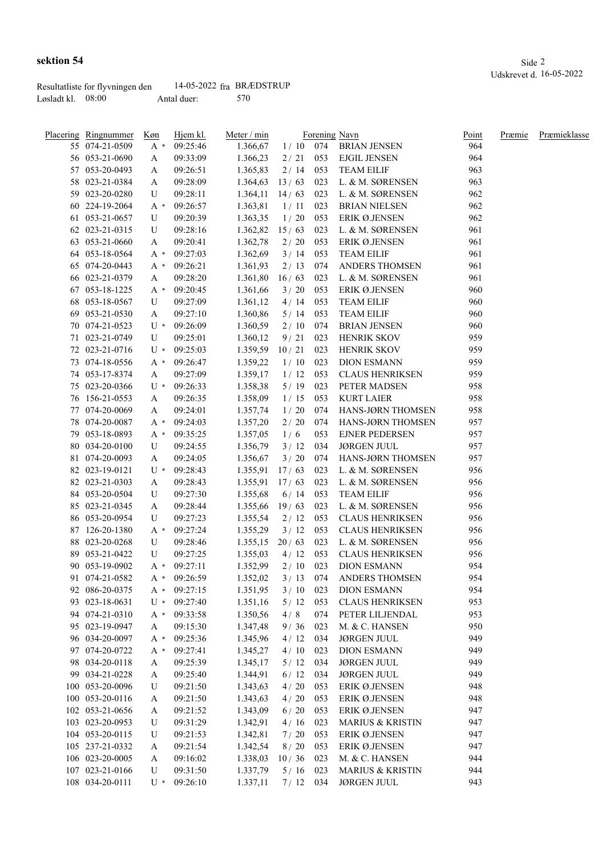|                     | Resultatliste for flyvningen den | 14-05-2022 fra BRÆDSTRUP |     |
|---------------------|----------------------------------|--------------------------|-----|
| Løsladt kl. $08:00$ |                                  | Antal duer:              | 570 |

| Placering Ringnummer | Køn      | Hjem kl. | Meter / min |            |     | Forening Navn               | <u>Point</u> | Præmie | Præmieklasse |
|----------------------|----------|----------|-------------|------------|-----|-----------------------------|--------------|--------|--------------|
| 55 074-21-0509       | A *      | 09:25:46 | 1.366,67    |            |     | 1/10 074 BRIAN JENSEN       | 964          |        |              |
| 56 053-21-0690       | A        | 09:33:09 | 1.366,23    | 2/21       | 053 | <b>EJGIL JENSEN</b>         | 964          |        |              |
| 57 053-20-0493       | A        | 09:26:51 | 1.365,83    | 2/14       | 053 | <b>TEAM EILIF</b>           | 963          |        |              |
| 58 023-21-0384       | A        | 09:28:09 | 1.364,63    | 13/63      | 023 | L. & M. SØRENSEN            | 963          |        |              |
| 59 023-20-0280       | U        | 09:28:11 | 1.364,11    | 14/63      | 023 | L. & M. SØRENSEN            | 962          |        |              |
| 60 224-19-2064       | A *      | 09:26:57 | 1.363,81    | 1/11       | 023 | <b>BRIAN NIELSEN</b>        | 962          |        |              |
| 61 053-21-0657       | U        | 09:20:39 | 1.363,35    | 1/20       | 053 | ERIK Ø.JENSEN               | 962          |        |              |
| 62 023-21-0315       | U        | 09:28:16 | 1.362,82    | 15/63      | 023 | L. & M. SØRENSEN            | 961          |        |              |
| 63 053-21-0660       | A        | 09:20:41 | 1.362,78    | 2/20       | 053 | ERIK Ø.JENSEN               | 961          |        |              |
| 64 053-18-0564       | A *      | 09:27:03 | 1.362,69    | 3/14       | 053 | <b>TEAM EILIF</b>           | 961          |        |              |
| 65 074-20-0443       | A *      | 09:26:21 | 1.361,93    | 2/13       | 074 | ANDERS THOMSEN              | 961          |        |              |
| 66 023-21-0379       | A        | 09:28:20 | 1.361,80    | 16/63      | 023 | L. & M. SØRENSEN            | 961          |        |              |
| 67 053-18-1225       | $A^*$    | 09:20:45 | 1.361,66    | 3/20       | 053 | ERIK Ø.JENSEN               | 960          |        |              |
| 68 053-18-0567       | U        | 09:27:09 | 1.361,12    | 4/14       | 053 | <b>TEAM EILIF</b>           | 960          |        |              |
| 69 053-21-0530       | A        | 09:27:10 | 1.360,86    | 5/14       | 053 | <b>TEAM EILIF</b>           | 960          |        |              |
| 70 074-21-0523       | U *      | 09:26:09 | 1.360,59    | 2/10       | 074 | BRIAN JENSEN                | 960          |        |              |
| 71 023-21-0749       | U        | 09:25:01 | 1.360,12    | 9/21       | 023 | <b>HENRIK SKOV</b>          | 959          |        |              |
| 72 023-21-0716       | U *      | 09:25:03 | 1.359,59    | 10/21      | 023 | <b>HENRIK SKOV</b>          | 959          |        |              |
| 73 074-18-0556       | A *      | 09:26:47 | 1.359,22    | 1/10       | 023 | <b>DION ESMANN</b>          | 959          |        |              |
| 74 053-17-8374       |          | 09:27:09 | 1.359,17    | 1/12       | 053 | <b>CLAUS HENRIKSEN</b>      | 959          |        |              |
| 75 023-20-0366       | A<br>U * | 09:26:33 | 1.358,38    | 5/19       | 023 | PETER MADSEN                | 958          |        |              |
| 76 156-21-0553       |          | 09:26:35 |             |            |     | <b>KURT LAIER</b>           | 958          |        |              |
|                      | A        |          | 1.358,09    | 1/15       | 053 |                             |              |        |              |
| 77 074-20-0069       | A        | 09:24:01 | 1.357,74    | 1/20       | 074 | HANS-JØRN THOMSEN           | 958          |        |              |
| 78 074-20-0087       | $A^*$    | 09:24:03 | 1.357,20    | 2 / 20     | 074 | HANS-JØRN THOMSEN           | 957          |        |              |
| 79 053-18-0893       | A *      | 09:35:25 | 1.357,05    | 1/6        | 053 | <b>EJNER PEDERSEN</b>       | 957          |        |              |
| 80 034-20-0100       | U        | 09:24:55 | 1.356,79    | 3/12       | 034 | <b>JØRGEN JUUL</b>          | 957          |        |              |
| 81 074-20-0093       | A        | 09:24:05 | 1.356,67    | 3/20       | 074 | HANS-JØRN THOMSEN           | 957          |        |              |
| 82 023-19-0121       | $U^*$    | 09:28:43 | 1.355,91    | 17/63      | 023 | L. & M. SØRENSEN            | 956          |        |              |
| 82 023-21-0303       | A        | 09:28:43 | 1.355,91    | 17/63      | 023 | L. & M. SØRENSEN            | 956          |        |              |
| 84 053-20-0504       | U        | 09:27:30 | 1.355,68    | 6/14       | 053 | <b>TEAM EILIF</b>           | 956          |        |              |
| 85 023-21-0345       | A        | 09:28:44 | 1.355,66    | 19/63      | 023 | L. & M. SØRENSEN            | 956          |        |              |
| 86 053-20-0954       | U        | 09:27:23 | 1.355,54    | 2/12       | 053 | <b>CLAUS HENRIKSEN</b>      | 956          |        |              |
| 87 126-20-1380       | A *      | 09:27:24 | 1.355,29    | 3/12       | 053 | <b>CLAUS HENRIKSEN</b>      | 956          |        |              |
| 88 023-20-0268       | U        | 09:28:46 | 1.355,15    | 20/63      | 023 | L. & M. SØRENSEN            | 956          |        |              |
| 89 053-21-0422       | U        | 09:27:25 | 1.355,03    | 4/12       | 053 | <b>CLAUS HENRIKSEN</b>      | 956          |        |              |
| 90 053-19-0902       | A *      | 09:27:11 | 1.352,99    | 2/10       | 023 | <b>DION ESMANN</b>          | 954          |        |              |
| 91 074-21-0582       | A *      | 09:26:59 | 1.352,02    | $3/13$ 074 |     | <b>ANDERS THOMSEN</b>       | 954          |        |              |
| 92 086-20-0375       | $A^*$    | 09:27:15 | 1.351,95    | 3/10       | 023 | <b>DION ESMANN</b>          | 954          |        |              |
| 93 023-18-0631       | $U^*$    | 09:27:40 | 1.351,16    | 5/12       | 053 | <b>CLAUS HENRIKSEN</b>      | 953          |        |              |
| 94 074-21-0310       | A *      | 09:33:58 | 1.350,56    | 4/8        | 074 | PETER LILJENDAL             | 953          |        |              |
| 95 023-19-0947       | A        | 09:15:30 | 1.347,48    | 9/36       | 023 | M. & C. HANSEN              | 950          |        |              |
| 96 034-20-0097       | $A^*$    | 09:25:36 | 1.345,96    | 4/12       | 034 | <b>JØRGEN JUUL</b>          | 949          |        |              |
| 97 074-20-0722       | $A^*$    | 09:27:41 | 1.345,27    | 4/10       | 023 | <b>DION ESMANN</b>          | 949          |        |              |
| 98 034-20-0118       | A        | 09:25:39 | 1.345,17    | 5/12       | 034 | <b>JØRGEN JUUL</b>          | 949          |        |              |
| 99 034-21-0228       | A        | 09:25:40 | 1.344,91    | 6/12       | 034 | <b>JØRGEN JUUL</b>          | 949          |        |              |
| 100 053-20-0096      | U        | 09:21:50 | 1.343,63    | 4/20       | 053 | ERIK Ø.JENSEN               | 948          |        |              |
| 100 053-20-0116      | A        | 09:21:50 | 1.343,63    | 4/20       | 053 | ERIK Ø.JENSEN               | 948          |        |              |
| 102 053-21-0656      | A        | 09:21:52 | 1.343,09    | 6/20       | 053 | ERIK Ø.JENSEN               | 947          |        |              |
| 103 023-20-0953      | U        | 09:31:29 | 1.342,91    | 4/16       | 023 | <b>MARIUS &amp; KRISTIN</b> | 947          |        |              |
| 104 053-20-0115      | U        | 09:21:53 | 1.342,81    | $7/20$     | 053 | ERIK Ø.JENSEN               | 947          |        |              |
| 105 237-21-0332      | A        | 09:21:54 | 1.342,54    | 8/20       | 053 | ERIK Ø.JENSEN               | 947          |        |              |
| 106 023-20-0005      | A        | 09:16:02 | 1.338,03    | 10/36      | 023 | M. & C. HANSEN              | 944          |        |              |
| 107 023-21-0166      | U        | 09:31:50 | 1.337,79    | 5/16       | 023 | <b>MARIUS &amp; KRISTIN</b> | 944          |        |              |
| 108 034-20-0111      | U *      | 09:26:10 | 1.337,11    | 7/12       | 034 | <b>JØRGEN JUUL</b>          | 943          |        |              |
|                      |          |          |             |            |     |                             |              |        |              |